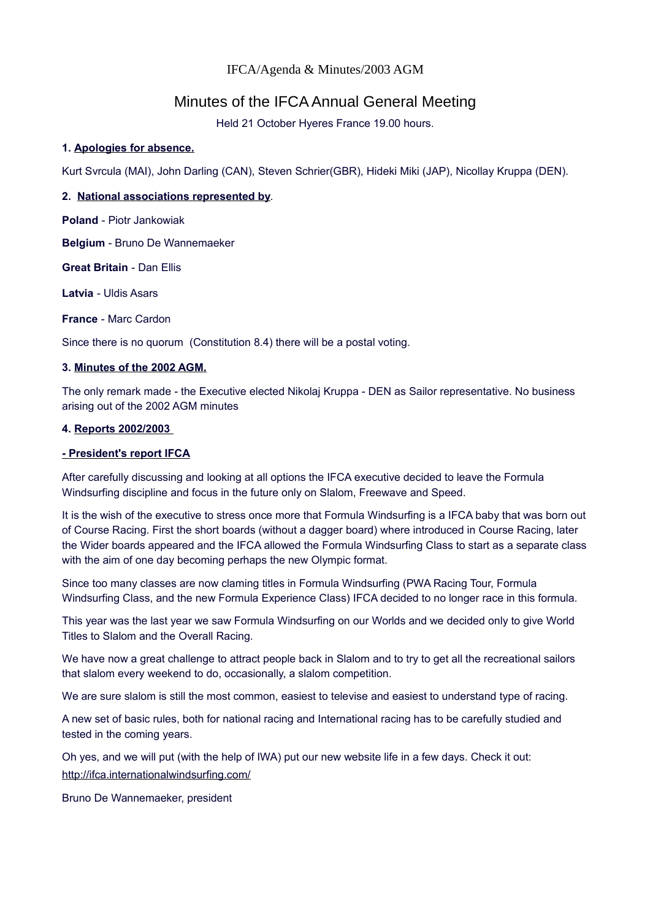# IFCA/Agenda & Minutes/2003 AGM

# Minutes of the IFCA Annual General Meeting

Held 21 October Hyeres France 19.00 hours.

# **1. Apologies for absence.**

Kurt Svrcula (MAI), John Darling (CAN), Steven Schrier(GBR), Hideki Miki (JAP), Nicollay Kruppa (DEN).

# **2. National associations represented by**.

**Poland** - Piotr Jankowiak

**Belgium** - Bruno De Wannemaeker

**Great Britain** - Dan Ellis

**Latvia** - Uldis Asars

**France** - Marc Cardon

Since there is no quorum (Constitution 8.4) there will be a postal voting.

## **3. Minutes of the 2002 AGM.**

The only remark made - the Executive elected Nikolaj Kruppa - DEN as Sailor representative. No business arising out of the 2002 AGM minutes

## **4. Reports 2002/2003**

#### **- President's report IFCA**

After carefully discussing and looking at all options the IFCA executive decided to leave the Formula Windsurfing discipline and focus in the future only on Slalom, Freewave and Speed.

It is the wish of the executive to stress once more that Formula Windsurfing is a IFCA baby that was born out of Course Racing. First the short boards (without a dagger board) where introduced in Course Racing, later the Wider boards appeared and the IFCA allowed the Formula Windsurfing Class to start as a separate class with the aim of one day becoming perhaps the new Olympic format.

Since too many classes are now claming titles in Formula Windsurfing (PWA Racing Tour, Formula Windsurfing Class, and the new Formula Experience Class) IFCA decided to no longer race in this formula.

This year was the last year we saw Formula Windsurfing on our Worlds and we decided only to give World Titles to Slalom and the Overall Racing.

We have now a great challenge to attract people back in Slalom and to try to get all the recreational sailors that slalom every weekend to do, occasionally, a slalom competition.

We are sure slalom is still the most common, easiest to televise and easiest to understand type of racing.

A new set of basic rules, both for national racing and International racing has to be carefully studied and tested in the coming years.

Oh yes, and we will put (with the help of IWA) put our new website life in a few days. Check it out: [http://ifca.internationalwindsurfing.com/](http://ifca.internationalwindsurfing.com/page0100v01.htm)

Bruno De Wannemaeker, president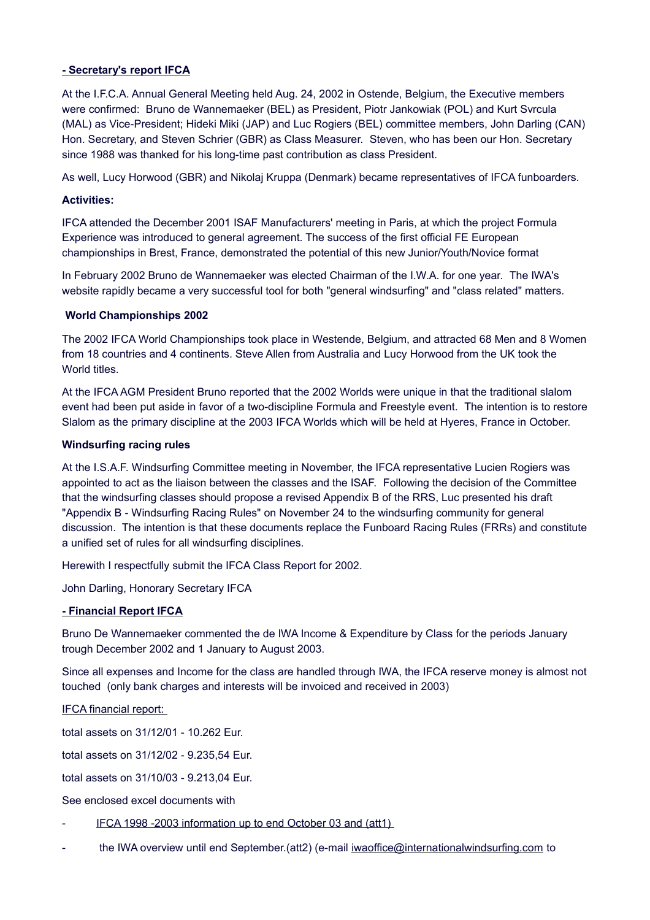# **- Secretary's report IFCA**

At the I.F.C.A. Annual General Meeting held Aug. 24, 2002 in Ostende, Belgium, the Executive members were confirmed: Bruno de Wannemaeker (BEL) as President, Piotr Jankowiak (POL) and Kurt Svrcula (MAL) as Vice-President; Hideki Miki (JAP) and Luc Rogiers (BEL) committee members, John Darling (CAN) Hon. Secretary, and Steven Schrier (GBR) as Class Measurer. Steven, who has been our Hon. Secretary since 1988 was thanked for his long-time past contribution as class President.

As well, Lucy Horwood (GBR) and Nikolaj Kruppa (Denmark) became representatives of IFCA funboarders.

# **Activities:**

IFCA attended the December 2001 ISAF Manufacturers' meeting in Paris, at which the project Formula Experience was introduced to general agreement. The success of the first official FE European championships in Brest, France, demonstrated the potential of this new Junior/Youth/Novice format

In February 2002 Bruno de Wannemaeker was elected Chairman of the I.W.A. for one year. The IWA's website rapidly became a very successful tool for both "general windsurfing" and "class related" matters.

## **World Championships 2002**

The 2002 IFCA World Championships took place in Westende, Belgium, and attracted 68 Men and 8 Women from 18 countries and 4 continents. Steve Allen from Australia and Lucy Horwood from the UK took the World titles

At the IFCA AGM President Bruno reported that the 2002 Worlds were unique in that the traditional slalom event had been put aside in favor of a two-discipline Formula and Freestyle event. The intention is to restore Slalom as the primary discipline at the 2003 IFCA Worlds which will be held at Hyeres, France in October.

# **Windsurfing racing rules**

At the I.S.A.F. Windsurfing Committee meeting in November, the IFCA representative Lucien Rogiers was appointed to act as the liaison between the classes and the ISAF. Following the decision of the Committee that the windsurfing classes should propose a revised Appendix B of the RRS, Luc presented his draft "Appendix B - Windsurfing Racing Rules" on November 24 to the windsurfing community for general discussion. The intention is that these documents replace the Funboard Racing Rules (FRRs) and constitute a unified set of rules for all windsurfing disciplines.

Herewith I respectfully submit the IFCA Class Report for 2002.

John Darling, Honorary Secretary IFCA

# **- Financial Report IFCA**

Bruno De Wannemaeker commented the de IWA Income & Expenditure by Class for the periods January trough December 2002 and 1 January to August 2003.

Since all expenses and Income for the class are handled through IWA, the IFCA reserve money is almost not touched (only bank charges and interests will be invoiced and received in 2003)

IFCA financial report:

total assets on 31/12/01 - 10.262 Eur.

total assets on 31/12/02 - 9.235,54 Eur.

total assets on 31/10/03 - 9.213,04 Eur.

See enclosed excel documents with

- [IFCA 1998 -2003 information up to end October 03 and \(att1\)](http://ifca.internationalwindsurfing.com/page0101v01.htm)
- the IWA overview until end September.(att2) (e-mail [iwaoffice@internationalwindsurfing.com](mailto:iwaoffice@internationalwindsurfing.com) to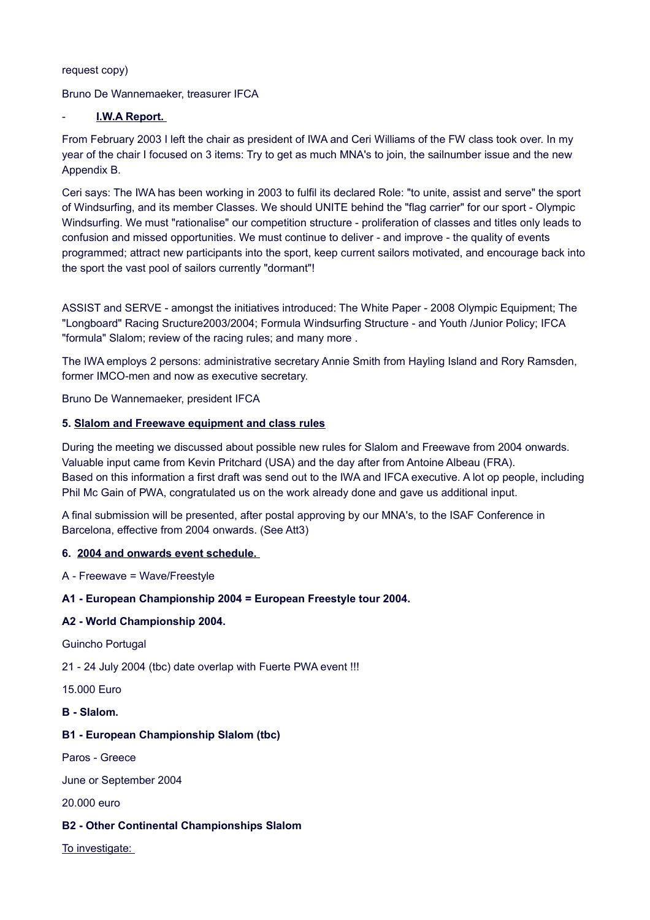request copy)

Bruno De Wannemaeker, treasurer IFCA

# - **I.W.A Report.**

From February 2003 I left the chair as president of IWA and Ceri Williams of the FW class took over. In my year of the chair I focused on 3 items: Try to get as much MNA's to join, the sailnumber issue and the new Appendix B.

Ceri says: The IWA has been working in 2003 to fulfil its declared Role: "to unite, assist and serve" the sport of Windsurfing, and its member Classes. We should UNITE behind the "flag carrier" for our sport - Olympic Windsurfing. We must "rationalise" our competition structure - proliferation of classes and titles only leads to confusion and missed opportunities. We must continue to deliver - and improve - the quality of events programmed; attract new participants into the sport, keep current sailors motivated, and encourage back into the sport the vast pool of sailors currently "dormant"!

ASSIST and SERVE - amongst the initiatives introduced: The White Paper - 2008 Olympic Equipment; The "Longboard" Racing Sructure2003/2004; Formula Windsurfing Structure - and Youth /Junior Policy; IFCA "formula" Slalom; review of the racing rules; and many more .

The IWA employs 2 persons: administrative secretary Annie Smith from Hayling Island and Rory Ramsden, former IMCO-men and now as executive secretary.

Bruno De Wannemaeker, president IFCA

# **5. Slalom and Freewave equipment and class rules**

During the meeting we discussed about possible new rules for Slalom and Freewave from 2004 onwards. Valuable input came from Kevin Pritchard (USA) and the day after from Antoine Albeau (FRA). Based on this information a first draft was send out to the IWA and IFCA executive. A lot op people, including Phil Mc Gain of PWA, congratulated us on the work already done and gave us additional input.

A final submission will be presented, after postal approving by our MNA's, to the ISAF Conference in Barcelona, effective from 2004 onwards. (See Att3)

## **6. 2004 and onwards event schedule.**

A - Freewave = Wave/Freestyle

## **A1 - European Championship 2004 = European Freestyle tour 2004.**

## **A2 - World Championship 2004.**

Guincho Portugal

21 - 24 July 2004 (tbc) date overlap with Fuerte PWA event !!!

15.000 Euro

# **B - Slalom.**

## **B1 - European Championship Slalom (tbc)**

Paros - Greece

June or September 2004

20.000 euro

## **B2 - Other Continental Championships Slalom**

To investigate: